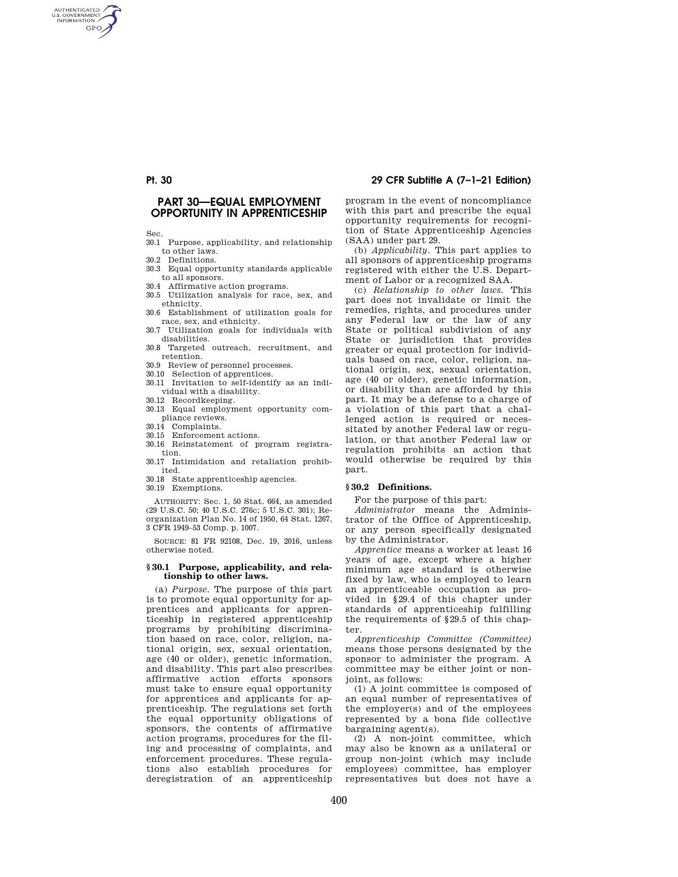# **Pt. 30 29 CFR Subtitle A (7–1–21 Edition)**

AUTHENTICATED<br>U.S. GOVERNMENT<br>INFORMATION **GPO** 

# **PART 30—EQUAL EMPLOYMENT OPPORTUNITY IN APPRENTICESHIP**

Sec.

- 30.1 Purpose, applicability, and relationship to other laws.
- 30.2 Definitions.
- 30.3 Equal opportunity standards applicable to all sponsors.
- 30.4 Affirmative action programs.
- 30.5 Utilization analysis for race, sex, and ethnicity.
- 30.6 Establishment of utilization goals for race, sex, and ethnicity.
- 30.7 Utilization goals for individuals with disabilities.
- 30.8 Targeted outreach, recruitment, and retention.
- 30.9 Review of personnel processes.
- 30.10 Selection of apprentices.
- 30.11 Invitation to self-identify as an individual with a disability.
- 30.12 Recordkeeping.
- 30.13 Equal employment opportunity compliance reviews.
- 30.14 Complaints.
- 30.15 Enforcement actions.
- 30.16 Reinstatement of program registration.
- 30.17 Intimidation and retaliation prohibited.
- 30.18 State apprenticeship agencies.

30.19 Exemptions.

AUTHORITY: Sec. 1, 50 Stat. 664, as amended (29 U.S.C. 50; 40 U.S.C. 276c; 5 U.S.C. 301); Reorganization Plan No. 14 of 1950, 64 Stat. 1267, 3 CFR 1949–53 Comp. p. 1007.

SOURCE: 81 FR 92108, Dec. 19, 2016, unless otherwise noted.

## **§ 30.1 Purpose, applicability, and relationship to other laws.**

(a) *Purpose.* The purpose of this part is to promote equal opportunity for apprentices and applicants for apprenticeship in registered apprenticeship programs by prohibiting discrimination based on race, color, religion, national origin, sex, sexual orientation, age (40 or older), genetic information, and disability. This part also prescribes affirmative action efforts sponsors must take to ensure equal opportunity for apprentices and applicants for apprenticeship. The regulations set forth the equal opportunity obligations of sponsors, the contents of affirmative action programs, procedures for the filing and processing of complaints, and enforcement procedures. These regulations also establish procedures for deregistration of an apprenticeship

program in the event of noncompliance with this part and prescribe the equal opportunity requirements for recognition of State Apprenticeship Agencies (SAA) under part 29.

(b) *Applicability.* This part applies to all sponsors of apprenticeship programs registered with either the U.S. Department of Labor or a recognized SAA.

(c) *Relationship to other laws.* This part does not invalidate or limit the remedies, rights, and procedures under any Federal law or the law of any State or political subdivision of any State or jurisdiction that provides greater or equal protection for individuals based on race, color, religion, national origin, sex, sexual orientation, age (40 or older), genetic information, or disability than are afforded by this part. It may be a defense to a charge of a violation of this part that a challenged action is required or necessitated by another Federal law or regulation, or that another Federal law or regulation prohibits an action that would otherwise be required by this part.

## **§ 30.2 Definitions.**

For the purpose of this part:

*Administrator* means the Administrator of the Office of Apprenticeship, or any person specifically designated by the Administrator.

*Apprentice* means a worker at least 16 years of age, except where a higher minimum age standard is otherwise fixed by law, who is employed to learn an apprenticeable occupation as provided in §29.4 of this chapter under standards of apprenticeship fulfilling the requirements of §29.5 of this chapter.

*Apprenticeship Committee (Committee)*  means those persons designated by the sponsor to administer the program. A committee may be either joint or nonjoint, as follows:

(1) A joint committee is composed of an equal number of representatives of the employer(s) and of the employees represented by a bona fide collective bargaining agent(s).

(2) A non-joint committee, which may also be known as a unilateral or group non-joint (which may include employees) committee, has employer representatives but does not have a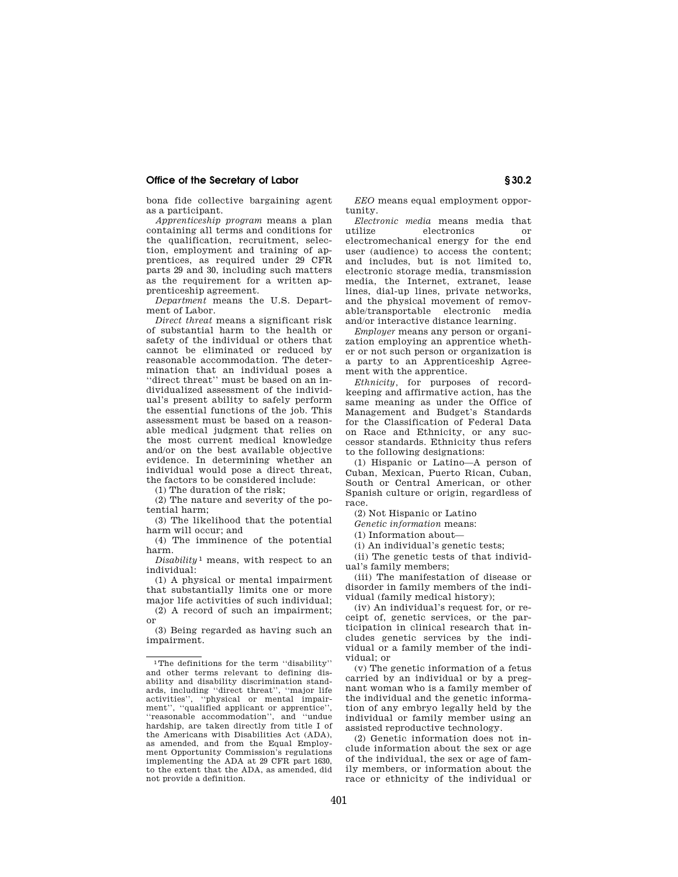bona fide collective bargaining agent as a participant.

*Apprenticeship program* means a plan containing all terms and conditions for the qualification, recruitment, selection, employment and training of apprentices, as required under 29 CFR parts 29 and 30, including such matters as the requirement for a written apprenticeship agreement.

*Department* means the U.S. Department of Labor.

*Direct threat* means a significant risk of substantial harm to the health or safety of the individual or others that cannot be eliminated or reduced by reasonable accommodation. The determination that an individual poses a ''direct threat'' must be based on an individualized assessment of the individual's present ability to safely perform the essential functions of the job. This assessment must be based on a reasonable medical judgment that relies on the most current medical knowledge and/or on the best available objective evidence. In determining whether an individual would pose a direct threat, the factors to be considered include:

(1) The duration of the risk;

(2) The nature and severity of the potential harm;

(3) The likelihood that the potential harm will occur; and

(4) The imminence of the potential harm.

*Disability* 1 means, with respect to an individual:

(1) A physical or mental impairment that substantially limits one or more major life activities of such individual;

(2) A record of such an impairment; or

(3) Being regarded as having such an impairment.

*EEO* means equal employment opportunity.

*Electronic media* means media that electronics or electromechanical energy for the end user (audience) to access the content; and includes, but is not limited to, electronic storage media, transmission media, the Internet, extranet, lease lines, dial-up lines, private networks, and the physical movement of removable/transportable electronic media and/or interactive distance learning.

*Employer* means any person or organization employing an apprentice whether or not such person or organization is a party to an Apprenticeship Agreement with the apprentice.

*Ethnicity,* for purposes of recordkeeping and affirmative action, has the same meaning as under the Office of Management and Budget's Standards for the Classification of Federal Data on Race and Ethnicity, or any successor standards. Ethnicity thus refers to the following designations:

(1) Hispanic or Latino—A person of Cuban, Mexican, Puerto Rican, Cuban, South or Central American, or other Spanish culture or origin, regardless of race.

(2) Not Hispanic or Latino

*Genetic information* means:

(1) Information about—

(i) An individual's genetic tests;

(ii) The genetic tests of that individual's family members;

(iii) The manifestation of disease or disorder in family members of the individual (family medical history);

(iv) An individual's request for, or receipt of, genetic services, or the participation in clinical research that includes genetic services by the individual or a family member of the individual; or

(v) The genetic information of a fetus carried by an individual or by a pregnant woman who is a family member of the individual and the genetic information of any embryo legally held by the individual or family member using an assisted reproductive technology.

(2) Genetic information does not include information about the sex or age of the individual, the sex or age of family members, or information about the race or ethnicity of the individual or

<sup>1</sup>The definitions for the term ''disability'' and other terms relevant to defining disability and disability discrimination standards, including ''direct threat'', ''major life activities'', ''physical or mental impairment", "qualified applicant or apprentice", ''reasonable accommodation'', and ''undue hardship, are taken directly from title I of the Americans with Disabilities Act (ADA), as amended, and from the Equal Employment Opportunity Commission's regulations implementing the ADA at 29 CFR part 1630, to the extent that the ADA, as amended, did not provide a definition.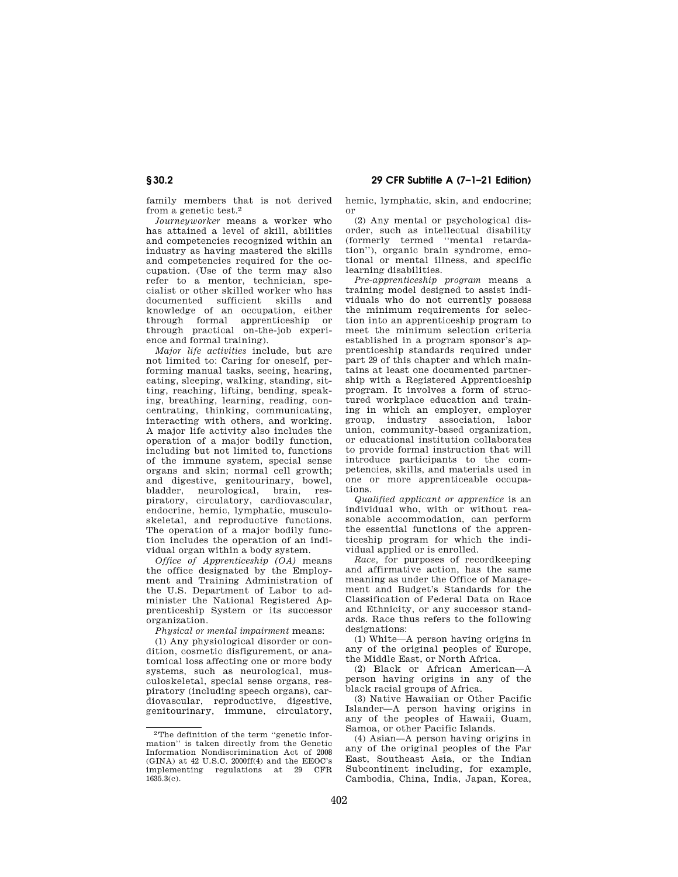# **§ 30.2 29 CFR Subtitle A (7–1–21 Edition)**

family members that is not derived from a genetic test.2

*Journeyworker* means a worker who has attained a level of skill, abilities and competencies recognized within an industry as having mastered the skills and competencies required for the occupation. (Use of the term may also refer to a mentor, technician, specialist or other skilled worker who has documented sufficient skills and knowledge of an occupation, either through formal apprenticeship or through practical on-the-job experience and formal training).

*Major life activities* include, but are not limited to: Caring for oneself, performing manual tasks, seeing, hearing, eating, sleeping, walking, standing, sitting, reaching, lifting, bending, speaking, breathing, learning, reading, concentrating, thinking, communicating, interacting with others, and working. A major life activity also includes the operation of a major bodily function, including but not limited to, functions of the immune system, special sense organs and skin; normal cell growth; and digestive, genitourinary, bowel, bladder, neurological, brain, respiratory, circulatory, cardiovascular, endocrine, hemic, lymphatic, musculoskeletal, and reproductive functions. The operation of a major bodily function includes the operation of an individual organ within a body system.

*Office of Apprenticeship (OA)* means the office designated by the Employment and Training Administration of the U.S. Department of Labor to administer the National Registered Apprenticeship System or its successor organization.

*Physical or mental impairment* means:

(1) Any physiological disorder or condition, cosmetic disfigurement, or anatomical loss affecting one or more body systems, such as neurological, musculoskeletal, special sense organs, respiratory (including speech organs), cardiovascular, reproductive, digestive, genitourinary, immune, circulatory, hemic, lymphatic, skin, and endocrine; or

(2) Any mental or psychological disorder, such as intellectual disability (formerly termed ''mental retardation''), organic brain syndrome, emotional or mental illness, and specific learning disabilities.

*Pre-apprenticeship program* means a training model designed to assist individuals who do not currently possess the minimum requirements for selection into an apprenticeship program to meet the minimum selection criteria established in a program sponsor's apprenticeship standards required under part 29 of this chapter and which maintains at least one documented partnership with a Registered Apprenticeship program. It involves a form of structured workplace education and training in which an employer, employer group, industry association, labor union, community-based organization, or educational institution collaborates to provide formal instruction that will introduce participants to the competencies, skills, and materials used in one or more apprenticeable occupations.

*Qualified applicant or apprentice* is an individual who, with or without reasonable accommodation, can perform the essential functions of the apprenticeship program for which the individual applied or is enrolled.

*Race,* for purposes of recordkeeping and affirmative action, has the same meaning as under the Office of Management and Budget's Standards for the Classification of Federal Data on Race and Ethnicity, or any successor standards. Race thus refers to the following designations:

(1) White—A person having origins in any of the original peoples of Europe, the Middle East, or North Africa.

(2) Black or African American—A person having origins in any of the black racial groups of Africa.

(3) Native Hawaiian or Other Pacific Islander—A person having origins in any of the peoples of Hawaii, Guam, Samoa, or other Pacific Islands.

(4) Asian—A person having origins in any of the original peoples of the Far East, Southeast Asia, or the Indian Subcontinent including, for example, Cambodia, China, India, Japan, Korea,

<sup>2</sup>The definition of the term ''genetic information'' is taken directly from the Genetic Information Nondiscrimination Act of 2008 (GINA) at 42 U.S.C. 2000ff(4) and the EEOC's implementing regulations at 29 CFR 1635.3(c).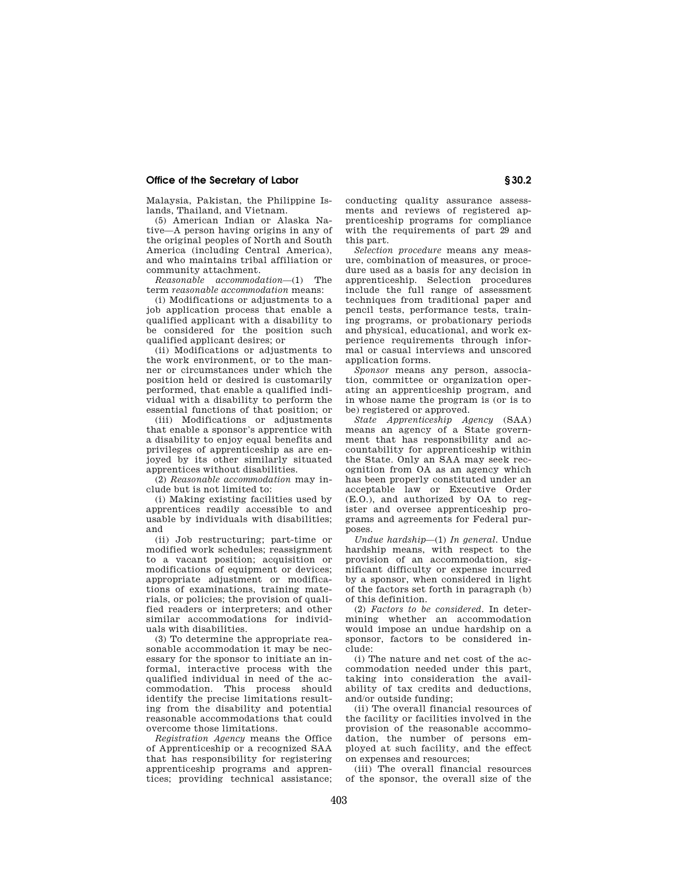Malaysia, Pakistan, the Philippine Islands, Thailand, and Vietnam.

(5) American Indian or Alaska Native—A person having origins in any of the original peoples of North and South America (including Central America), and who maintains tribal affiliation or community attachment.

*Reasonable accommodation*—(1) The term *reasonable accommodation* means:

(i) Modifications or adjustments to a job application process that enable a qualified applicant with a disability to be considered for the position such qualified applicant desires; or

(ii) Modifications or adjustments to the work environment, or to the manner or circumstances under which the position held or desired is customarily performed, that enable a qualified individual with a disability to perform the essential functions of that position; or

(iii) Modifications or adjustments that enable a sponsor's apprentice with a disability to enjoy equal benefits and privileges of apprenticeship as are enjoyed by its other similarly situated apprentices without disabilities.

(2) *Reasonable accommodation* may include but is not limited to:

(i) Making existing facilities used by apprentices readily accessible to and usable by individuals with disabilities; and

(ii) Job restructuring; part-time or modified work schedules; reassignment to a vacant position; acquisition or modifications of equipment or devices; appropriate adjustment or modifications of examinations, training materials, or policies; the provision of qualified readers or interpreters; and other similar accommodations for individuals with disabilities.

(3) To determine the appropriate reasonable accommodation it may be necessary for the sponsor to initiate an informal, interactive process with the qualified individual in need of the accommodation. This process should identify the precise limitations resulting from the disability and potential reasonable accommodations that could overcome those limitations.

*Registration Agency* means the Office of Apprenticeship or a recognized SAA that has responsibility for registering apprenticeship programs and apprentices; providing technical assistance; conducting quality assurance assessments and reviews of registered apprenticeship programs for compliance with the requirements of part 29 and this part.

*Selection procedure* means any measure, combination of measures, or procedure used as a basis for any decision in apprenticeship. Selection procedures include the full range of assessment techniques from traditional paper and pencil tests, performance tests, training programs, or probationary periods and physical, educational, and work experience requirements through informal or casual interviews and unscored application forms.

*Sponsor* means any person, association, committee or organization operating an apprenticeship program, and in whose name the program is (or is to be) registered or approved.

*State Apprenticeship Agency* (SAA) means an agency of a State government that has responsibility and accountability for apprenticeship within the State. Only an SAA may seek recognition from OA as an agency which has been properly constituted under an acceptable law or Executive Order (E.O.), and authorized by OA to register and oversee apprenticeship programs and agreements for Federal purposes.

*Undue hardship*—(1) *In general.* Undue hardship means, with respect to the provision of an accommodation, significant difficulty or expense incurred by a sponsor, when considered in light of the factors set forth in paragraph (b) of this definition.

(2) *Factors to be considered.* In determining whether an accommodation would impose an undue hardship on a sponsor, factors to be considered include:

(i) The nature and net cost of the accommodation needed under this part, taking into consideration the availability of tax credits and deductions, and/or outside funding;

(ii) The overall financial resources of the facility or facilities involved in the provision of the reasonable accommodation, the number of persons employed at such facility, and the effect on expenses and resources;

(iii) The overall financial resources of the sponsor, the overall size of the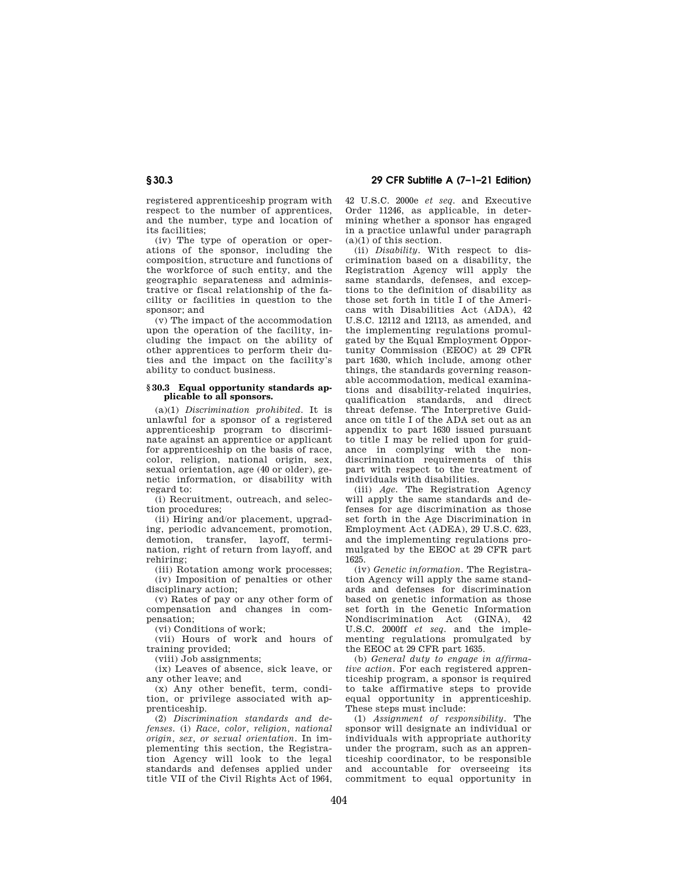registered apprenticeship program with respect to the number of apprentices, and the number, type and location of its facilities;

(iv) The type of operation or operations of the sponsor, including the composition, structure and functions of the workforce of such entity, and the geographic separateness and administrative or fiscal relationship of the facility or facilities in question to the sponsor; and

(v) The impact of the accommodation upon the operation of the facility, including the impact on the ability of other apprentices to perform their duties and the impact on the facility's ability to conduct business.

## **§ 30.3 Equal opportunity standards applicable to all sponsors.**

(a)(1) *Discrimination prohibited.* It is unlawful for a sponsor of a registered apprenticeship program to discriminate against an apprentice or applicant for apprenticeship on the basis of race, color, religion, national origin, sex, sexual orientation, age (40 or older), genetic information, or disability with regard to:

(i) Recruitment, outreach, and selection procedures;

(ii) Hiring and/or placement, upgrading, periodic advancement, promotion, demotion, transfer, layoff, termination, right of return from layoff, and rehiring;

(iii) Rotation among work processes; (iv) Imposition of penalties or other disciplinary action;

(v) Rates of pay or any other form of compensation and changes in compensation;

(vi) Conditions of work;

(vii) Hours of work and hours of training provided;

(viii) Job assignments;

(ix) Leaves of absence, sick leave, or any other leave; and

(x) Any other benefit, term, condition, or privilege associated with apprenticeship.

(2) *Discrimination standards and defenses.* (i) *Race, color, religion, national origin, sex, or sexual orientation.* In implementing this section, the Registration Agency will look to the legal standards and defenses applied under title VII of the Civil Rights Act of 1964,

42 U.S.C. 2000e *et seq.* and Executive Order 11246, as applicable, in determining whether a sponsor has engaged in a practice unlawful under paragraph (a)(1) of this section.

(ii) *Disability.* With respect to discrimination based on a disability, the Registration Agency will apply the same standards, defenses, and exceptions to the definition of disability as those set forth in title I of the Americans with Disabilities Act (ADA), 42 U.S.C. 12112 and 12113, as amended, and the implementing regulations promulgated by the Equal Employment Opportunity Commission (EEOC) at 29 CFR part 1630, which include, among other things, the standards governing reasonable accommodation, medical examinations and disability-related inquiries, qualification standards, and direct threat defense. The Interpretive Guidance on title I of the ADA set out as an appendix to part 1630 issued pursuant to title I may be relied upon for guidance in complying with the nondiscrimination requirements of this part with respect to the treatment of individuals with disabilities.

(iii) *Age.* The Registration Agency will apply the same standards and defenses for age discrimination as those set forth in the Age Discrimination in Employment Act (ADEA), 29 U.S.C. 623, and the implementing regulations promulgated by the EEOC at 29 CFR part 1625.

(iv) *Genetic information.* The Registration Agency will apply the same standards and defenses for discrimination based on genetic information as those set forth in the Genetic Information Nondiscrimination Act (GINA), 42 U.S.C. 2000ff *et seq.* and the implementing regulations promulgated by the EEOC at 29 CFR part 1635.

(b) *General duty to engage in affirmative action.* For each registered apprenticeship program, a sponsor is required to take affirmative steps to provide equal opportunity in apprenticeship. These steps must include:

(1) *Assignment of responsibility.* The sponsor will designate an individual or individuals with appropriate authority under the program, such as an apprenticeship coordinator, to be responsible and accountable for overseeing its commitment to equal opportunity in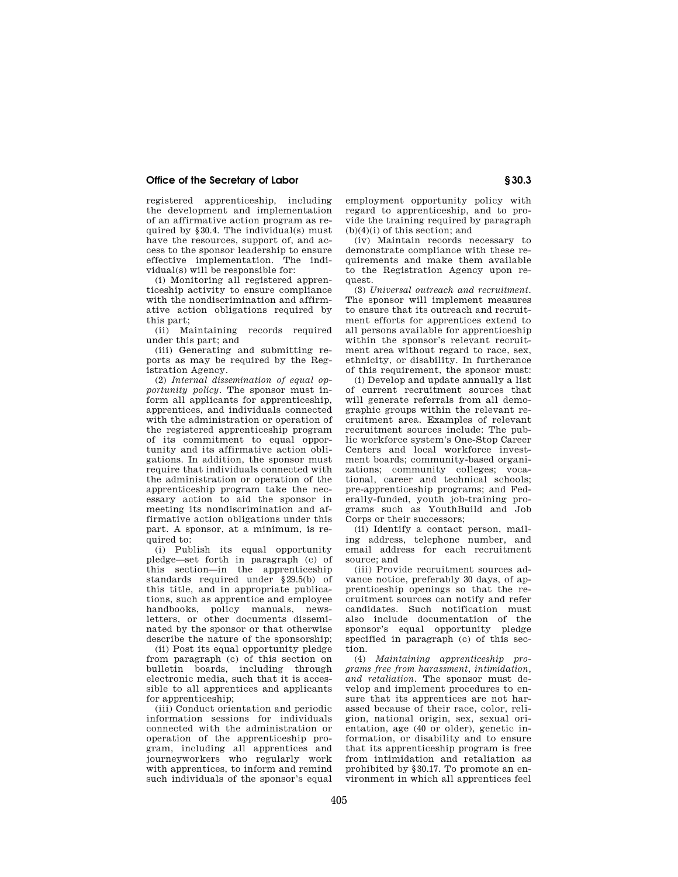registered apprenticeship, including the development and implementation of an affirmative action program as required by §30.4. The individual(s) must have the resources, support of, and access to the sponsor leadership to ensure effective implementation. The individual(s) will be responsible for:

(i) Monitoring all registered apprenticeship activity to ensure compliance with the nondiscrimination and affirmative action obligations required by this part;

(ii) Maintaining records required under this part; and

(iii) Generating and submitting reports as may be required by the Registration Agency.

(2) *Internal dissemination of equal opportunity policy.* The sponsor must inform all applicants for apprenticeship, apprentices, and individuals connected with the administration or operation of the registered apprenticeship program of its commitment to equal opportunity and its affirmative action obligations. In addition, the sponsor must require that individuals connected with the administration or operation of the apprenticeship program take the necessary action to aid the sponsor in meeting its nondiscrimination and affirmative action obligations under this part. A sponsor, at a minimum, is required to:

(i) Publish its equal opportunity pledge—set forth in paragraph (c) of this section—in the apprenticeship standards required under §29.5(b) of this title, and in appropriate publications, such as apprentice and employee handbooks, policy manuals, newsletters, or other documents disseminated by the sponsor or that otherwise describe the nature of the sponsorship;

(ii) Post its equal opportunity pledge from paragraph (c) of this section on bulletin boards, including through electronic media, such that it is accessible to all apprentices and applicants for apprenticeship;

(iii) Conduct orientation and periodic information sessions for individuals connected with the administration or operation of the apprenticeship program, including all apprentices and journeyworkers who regularly work with apprentices, to inform and remind such individuals of the sponsor's equal

employment opportunity policy with regard to apprenticeship, and to provide the training required by paragraph  $(b)(4)(i)$  of this section; and

(iv) Maintain records necessary to demonstrate compliance with these requirements and make them available to the Registration Agency upon request.

(3) *Universal outreach and recruitment.*  The sponsor will implement measures to ensure that its outreach and recruitment efforts for apprentices extend to all persons available for apprenticeship within the sponsor's relevant recruitment area without regard to race, sex, ethnicity, or disability. In furtherance of this requirement, the sponsor must:

(i) Develop and update annually a list of current recruitment sources that will generate referrals from all demographic groups within the relevant recruitment area. Examples of relevant recruitment sources include: The public workforce system's One-Stop Career Centers and local workforce investment boards; community-based organizations; community colleges; vocational, career and technical schools; pre-apprenticeship programs; and Federally-funded, youth job-training programs such as YouthBuild and Job Corps or their successors;

(ii) Identify a contact person, mailing address, telephone number, and email address for each recruitment source; and

(iii) Provide recruitment sources advance notice, preferably 30 days, of apprenticeship openings so that the recruitment sources can notify and refer candidates. Such notification must also include documentation of the sponsor's equal opportunity pledge specified in paragraph (c) of this section.

(4) *Maintaining apprenticeship programs free from harassment, intimidation, and retaliation.* The sponsor must develop and implement procedures to ensure that its apprentices are not harassed because of their race, color, religion, national origin, sex, sexual orientation, age (40 or older), genetic information, or disability and to ensure that its apprenticeship program is free from intimidation and retaliation as prohibited by §30.17. To promote an environment in which all apprentices feel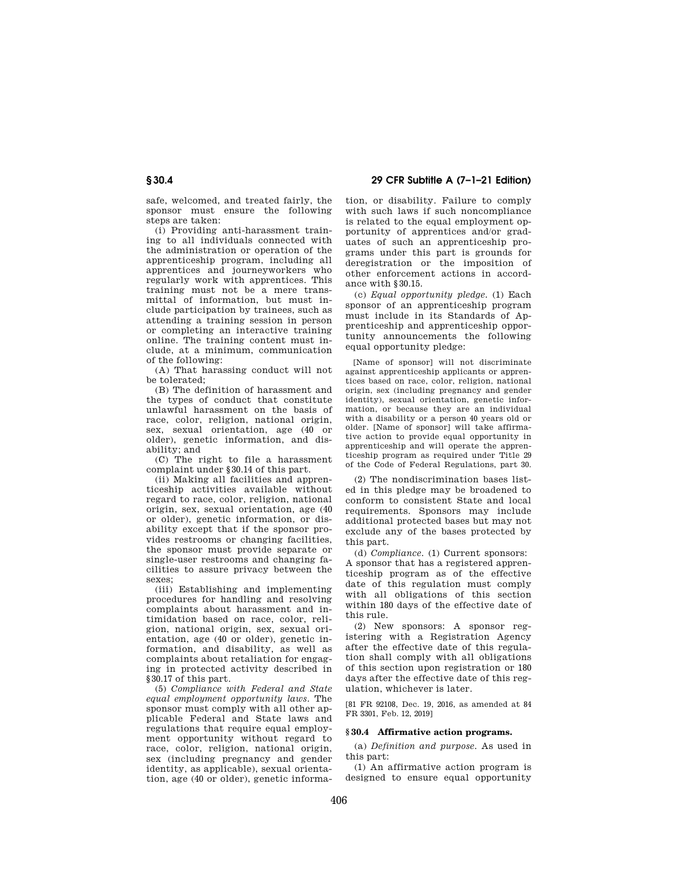safe, welcomed, and treated fairly, the sponsor must ensure the following steps are taken:

(i) Providing anti-harassment training to all individuals connected with the administration or operation of the apprenticeship program, including all apprentices and journeyworkers who regularly work with apprentices. This training must not be a mere transmittal of information, but must include participation by trainees, such as attending a training session in person or completing an interactive training online. The training content must include, at a minimum, communication of the following:

(A) That harassing conduct will not be tolerated;

(B) The definition of harassment and the types of conduct that constitute unlawful harassment on the basis of race, color, religion, national origin, sex, sexual orientation, age (40 or older), genetic information, and disability; and

(C) The right to file a harassment complaint under §30.14 of this part.

(ii) Making all facilities and apprenticeship activities available without regard to race, color, religion, national origin, sex, sexual orientation, age (40 or older), genetic information, or disability except that if the sponsor provides restrooms or changing facilities, the sponsor must provide separate or single-user restrooms and changing facilities to assure privacy between the sexes;

(iii) Establishing and implementing procedures for handling and resolving complaints about harassment and intimidation based on race, color, religion, national origin, sex, sexual orientation, age (40 or older), genetic information, and disability, as well as complaints about retaliation for engaging in protected activity described in §30.17 of this part.

(5) *Compliance with Federal and State equal employment opportunity laws.* The sponsor must comply with all other applicable Federal and State laws and regulations that require equal employment opportunity without regard to race, color, religion, national origin, sex (including pregnancy and gender identity, as applicable), sexual orientation, age (40 or older), genetic informa-

**§ 30.4 29 CFR Subtitle A (7–1–21 Edition)** 

tion, or disability. Failure to comply with such laws if such noncompliance is related to the equal employment opportunity of apprentices and/or graduates of such an apprenticeship programs under this part is grounds for deregistration or the imposition of other enforcement actions in accordance with §30.15.

(c) *Equal opportunity pledge.* (1) Each sponsor of an apprenticeship program must include in its Standards of Apprenticeship and apprenticeship opportunity announcements the following equal opportunity pledge:

[Name of sponsor] will not discriminate against apprenticeship applicants or apprentices based on race, color, religion, national origin, sex (including pregnancy and gender identity), sexual orientation, genetic information, or because they are an individual with a disability or a person 40 years old or older. [Name of sponsor] will take affirmative action to provide equal opportunity in apprenticeship and will operate the apprenticeship program as required under Title 29 of the Code of Federal Regulations, part 30.

(2) The nondiscrimination bases listed in this pledge may be broadened to conform to consistent State and local requirements. Sponsors may include additional protected bases but may not exclude any of the bases protected by this part.

(d) *Compliance.* (1) Current sponsors: A sponsor that has a registered apprenticeship program as of the effective date of this regulation must comply with all obligations of this section within 180 days of the effective date of this rule.

(2) New sponsors: A sponsor registering with a Registration Agency after the effective date of this regulation shall comply with all obligations of this section upon registration or 180 days after the effective date of this regulation, whichever is later.

[81 FR 92108, Dec. 19, 2016, as amended at 84 FR 3301, Feb. 12, 2019]

## **§ 30.4 Affirmative action programs.**

(a) *Definition and purpose.* As used in this part:

(1) An affirmative action program is designed to ensure equal opportunity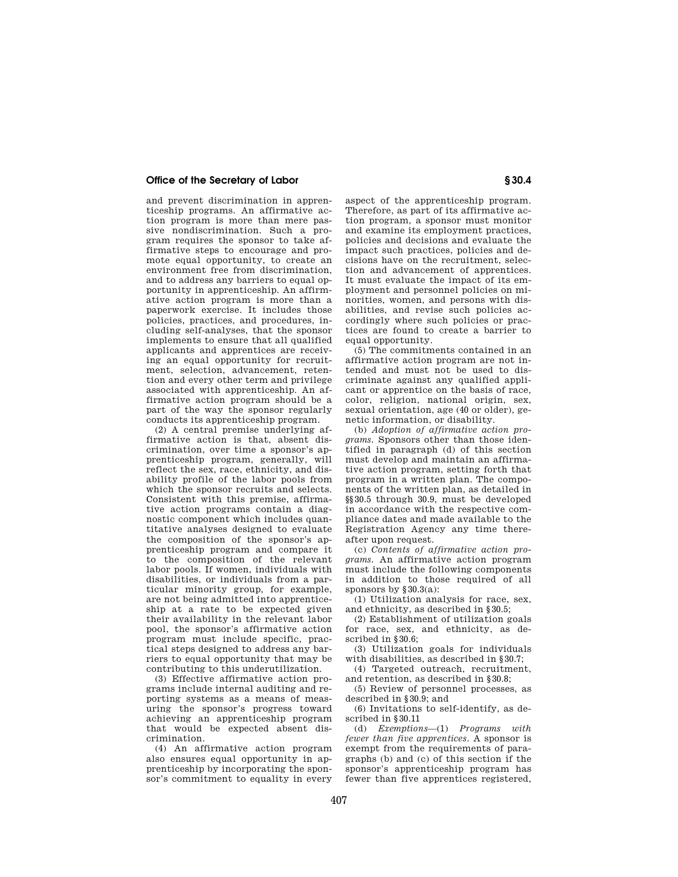and prevent discrimination in apprenticeship programs. An affirmative action program is more than mere passive nondiscrimination. Such a program requires the sponsor to take affirmative steps to encourage and promote equal opportunity, to create an environment free from discrimination, and to address any barriers to equal opportunity in apprenticeship. An affirmative action program is more than a paperwork exercise. It includes those policies, practices, and procedures, including self-analyses, that the sponsor implements to ensure that all qualified applicants and apprentices are receiving an equal opportunity for recruitment, selection, advancement, retention and every other term and privilege associated with apprenticeship. An affirmative action program should be a part of the way the sponsor regularly conducts its apprenticeship program.

(2) A central premise underlying affirmative action is that, absent discrimination, over time a sponsor's apprenticeship program, generally, will reflect the sex, race, ethnicity, and disability profile of the labor pools from which the sponsor recruits and selects. Consistent with this premise, affirmative action programs contain a diagnostic component which includes quantitative analyses designed to evaluate the composition of the sponsor's apprenticeship program and compare it to the composition of the relevant labor pools. If women, individuals with disabilities, or individuals from a particular minority group, for example, are not being admitted into apprenticeship at a rate to be expected given their availability in the relevant labor pool, the sponsor's affirmative action program must include specific, practical steps designed to address any barriers to equal opportunity that may be contributing to this underutilization.

(3) Effective affirmative action programs include internal auditing and reporting systems as a means of measuring the sponsor's progress toward achieving an apprenticeship program that would be expected absent discrimination.

(4) An affirmative action program also ensures equal opportunity in apprenticeship by incorporating the sponsor's commitment to equality in every aspect of the apprenticeship program. Therefore, as part of its affirmative action program, a sponsor must monitor and examine its employment practices, policies and decisions and evaluate the impact such practices, policies and decisions have on the recruitment, selection and advancement of apprentices. It must evaluate the impact of its employment and personnel policies on minorities, women, and persons with disabilities, and revise such policies accordingly where such policies or practices are found to create a barrier to equal opportunity.

(5) The commitments contained in an affirmative action program are not intended and must not be used to discriminate against any qualified applicant or apprentice on the basis of race, color, religion, national origin, sex, sexual orientation, age (40 or older), genetic information, or disability.

(b) *Adoption of affirmative action programs.* Sponsors other than those identified in paragraph (d) of this section must develop and maintain an affirmative action program, setting forth that program in a written plan. The components of the written plan, as detailed in §§30.5 through 30.9, must be developed in accordance with the respective compliance dates and made available to the Registration Agency any time thereafter upon request.

(c) *Contents of affirmative action programs.* An affirmative action program must include the following components in addition to those required of all sponsors by §30.3(a):

(1) Utilization analysis for race, sex, and ethnicity, as described in §30.5;

(2) Establishment of utilization goals for race, sex, and ethnicity, as described in  $830.6$ ;

(3) Utilization goals for individuals with disabilities, as described in  $830.7$ 

(4) Targeted outreach, recruitment, and retention, as described in §30.8;

(5) Review of personnel processes, as described in §30.9; and

(6) Invitations to self-identify, as described in §30.11

(d) *Exemptions*—(1) *Programs with fewer than five apprentices.* A sponsor is exempt from the requirements of paragraphs (b) and (c) of this section if the sponsor's apprenticeship program has fewer than five apprentices registered,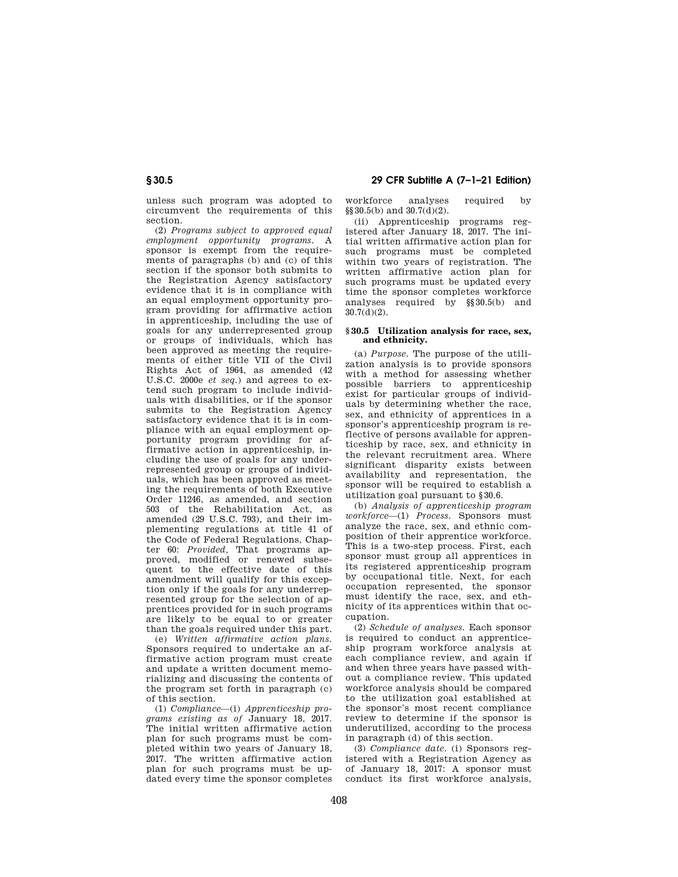unless such program was adopted to circumvent the requirements of this section.

(2) *Programs subject to approved equal employment opportunity programs.* A sponsor is exempt from the requirements of paragraphs (b) and (c) of this section if the sponsor both submits to the Registration Agency satisfactory evidence that it is in compliance with an equal employment opportunity program providing for affirmative action in apprenticeship, including the use of goals for any underrepresented group or groups of individuals, which has been approved as meeting the requirements of either title VII of the Civil Rights Act of 1964, as amended (42 U.S.C. 2000e *et seq.*) and agrees to extend such program to include individuals with disabilities, or if the sponsor submits to the Registration Agency satisfactory evidence that it is in compliance with an equal employment opportunity program providing for affirmative action in apprenticeship, including the use of goals for any underrepresented group or groups of individuals, which has been approved as meeting the requirements of both Executive Order 11246, as amended, and section 503 of the Rehabilitation Act, as amended (29 U.S.C. 793), and their implementing regulations at title 41 of the Code of Federal Regulations, Chapter 60: *Provided,* That programs approved, modified or renewed subsequent to the effective date of this amendment will qualify for this exception only if the goals for any underrepresented group for the selection of apprentices provided for in such programs are likely to be equal to or greater than the goals required under this part.

(e) *Written affirmative action plans.*  Sponsors required to undertake an affirmative action program must create and update a written document memorializing and discussing the contents of the program set forth in paragraph (c) of this section.

(1) *Compliance*—(i) *Apprenticeship programs existing as of* January 18, 2017. The initial written affirmative action plan for such programs must be completed within two years of January 18, 2017. The written affirmative action plan for such programs must be updated every time the sponsor completes

# **§ 30.5 29 CFR Subtitle A (7–1–21 Edition)**

workforce analyses required by §§30.5(b) and 30.7(d)(2).

(ii) Apprenticeship programs registered after January 18, 2017. The initial written affirmative action plan for such programs must be completed within two years of registration. The written affirmative action plan for such programs must be updated every time the sponsor completes workforce analyses required by §§30.5(b) and 30.7(d)(2).

## **§ 30.5 Utilization analysis for race, sex, and ethnicity.**

(a) *Purpose.* The purpose of the utilization analysis is to provide sponsors with a method for assessing whether possible barriers to apprenticeship exist for particular groups of individuals by determining whether the race, sex, and ethnicity of apprentices in a sponsor's apprenticeship program is reflective of persons available for apprenticeship by race, sex, and ethnicity in the relevant recruitment area. Where significant disparity exists between availability and representation, the sponsor will be required to establish a utilization goal pursuant to §30.6.

(b) *Analysis of apprenticeship program workforce*—(1) *Process.* Sponsors must analyze the race, sex, and ethnic composition of their apprentice workforce. This is a two-step process. First, each sponsor must group all apprentices in its registered apprenticeship program by occupational title. Next, for each occupation represented, the sponsor must identify the race, sex, and ethnicity of its apprentices within that occupation.

(2) *Schedule of analyses.* Each sponsor is required to conduct an apprenticeship program workforce analysis at each compliance review, and again if and when three years have passed without a compliance review. This updated workforce analysis should be compared to the utilization goal established at the sponsor's most recent compliance review to determine if the sponsor is underutilized, according to the process in paragraph (d) of this section.

(3) *Compliance date.* (i) Sponsors registered with a Registration Agency as of January 18, 2017: A sponsor must conduct its first workforce analysis,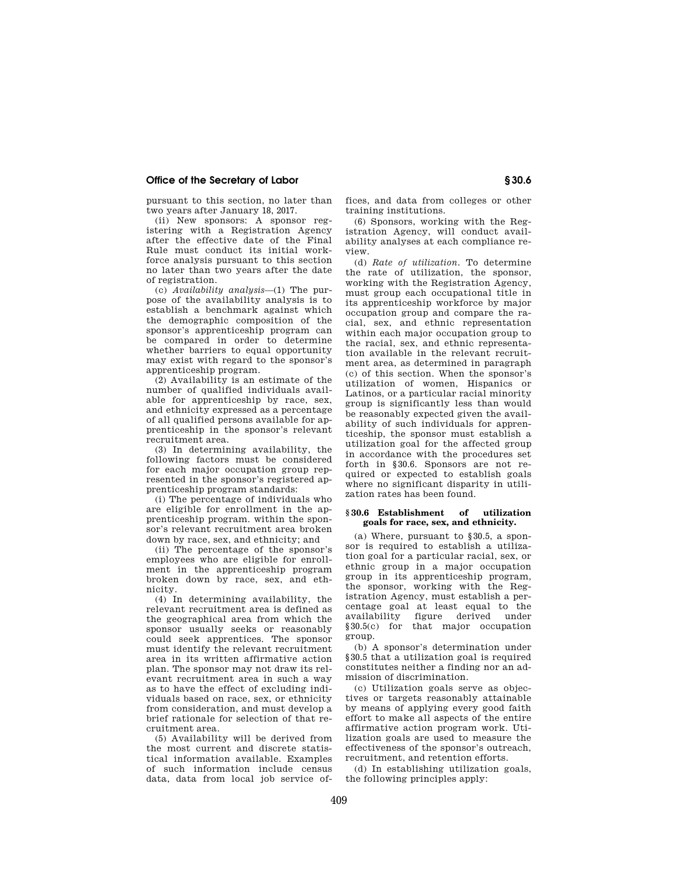pursuant to this section, no later than two years after January 18, 2017.

(ii) New sponsors: A sponsor registering with a Registration Agency after the effective date of the Final Rule must conduct its initial workforce analysis pursuant to this section no later than two years after the date of registration.

(c) *Availability analysis*—(1) The purpose of the availability analysis is to establish a benchmark against which the demographic composition of the sponsor's apprenticeship program can be compared in order to determine whether barriers to equal opportunity may exist with regard to the sponsor's apprenticeship program.

(2) Availability is an estimate of the number of qualified individuals available for apprenticeship by race, sex, and ethnicity expressed as a percentage of all qualified persons available for apprenticeship in the sponsor's relevant recruitment area.

(3) In determining availability, the following factors must be considered for each major occupation group represented in the sponsor's registered apprenticeship program standards:

(i) The percentage of individuals who are eligible for enrollment in the apprenticeship program. within the sponsor's relevant recruitment area broken down by race, sex, and ethnicity; and

(ii) The percentage of the sponsor's employees who are eligible for enrollment in the apprenticeship program broken down by race, sex, and ethnicity.

(4) In determining availability, the relevant recruitment area is defined as the geographical area from which the sponsor usually seeks or reasonably could seek apprentices. The sponsor must identify the relevant recruitment area in its written affirmative action plan. The sponsor may not draw its relevant recruitment area in such a way as to have the effect of excluding individuals based on race, sex, or ethnicity from consideration, and must develop a brief rationale for selection of that recruitment area.

(5) Availability will be derived from the most current and discrete statistical information available. Examples of such information include census data, data from local job service offices, and data from colleges or other training institutions.

(6) Sponsors, working with the Registration Agency, will conduct availability analyses at each compliance review.

(d) *Rate of utilization.* To determine the rate of utilization, the sponsor, working with the Registration Agency, must group each occupational title in its apprenticeship workforce by major occupation group and compare the racial, sex, and ethnic representation within each major occupation group to the racial, sex, and ethnic representation available in the relevant recruitment area, as determined in paragraph (c) of this section. When the sponsor's utilization of women, Hispanics or Latinos, or a particular racial minority group is significantly less than would be reasonably expected given the availability of such individuals for apprenticeship, the sponsor must establish a utilization goal for the affected group in accordance with the procedures set forth in §30.6. Sponsors are not required or expected to establish goals where no significant disparity in utilization rates has been found.

## **§ 30.6 Establishment of utilization goals for race, sex, and ethnicity.**

(a) Where, pursuant to §30.5, a sponsor is required to establish a utilization goal for a particular racial, sex, or ethnic group in a major occupation group in its apprenticeship program, the sponsor, working with the Registration Agency, must establish a percentage goal at least equal to the figure derived under §30.5(c) for that major occupation group.

(b) A sponsor's determination under §30.5 that a utilization goal is required constitutes neither a finding nor an admission of discrimination.

(c) Utilization goals serve as objectives or targets reasonably attainable by means of applying every good faith effort to make all aspects of the entire affirmative action program work. Utilization goals are used to measure the effectiveness of the sponsor's outreach, recruitment, and retention efforts.

(d) In establishing utilization goals, the following principles apply: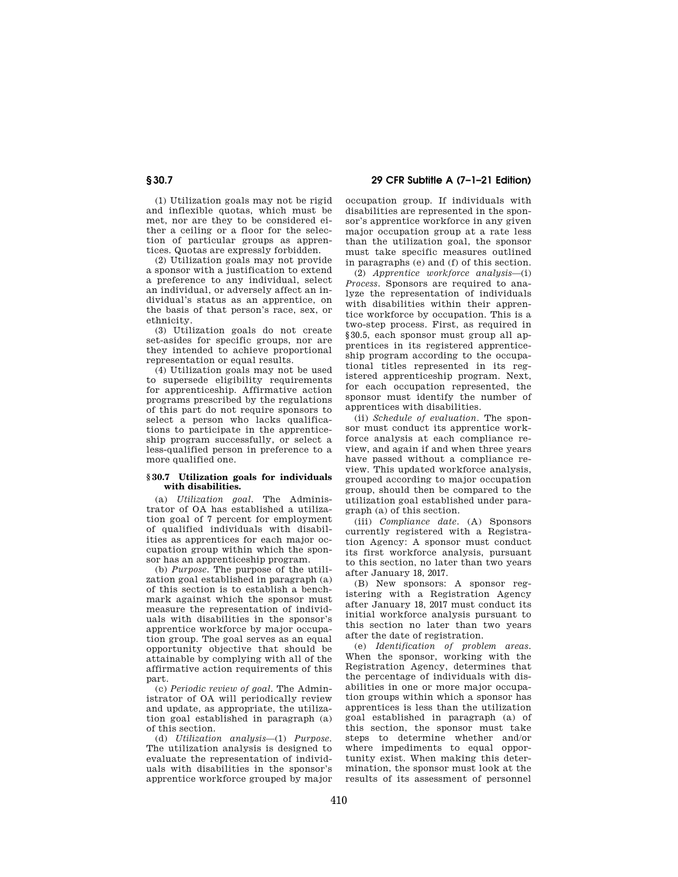**§ 30.7 29 CFR Subtitle A (7–1–21 Edition)** 

(1) Utilization goals may not be rigid and inflexible quotas, which must be met, nor are they to be considered either a ceiling or a floor for the selection of particular groups as apprentices. Quotas are expressly forbidden.

(2) Utilization goals may not provide a sponsor with a justification to extend a preference to any individual, select an individual, or adversely affect an individual's status as an apprentice, on the basis of that person's race, sex, or ethnicity.

(3) Utilization goals do not create set-asides for specific groups, nor are they intended to achieve proportional representation or equal results.

(4) Utilization goals may not be used to supersede eligibility requirements for apprenticeship. Affirmative action programs prescribed by the regulations of this part do not require sponsors to select a person who lacks qualifications to participate in the apprenticeship program successfully, or select a less-qualified person in preference to a more qualified one.

## **§ 30.7 Utilization goals for individuals with disabilities.**

(a) *Utilization goal.* The Administrator of OA has established a utilization goal of 7 percent for employment of qualified individuals with disabilities as apprentices for each major occupation group within which the sponsor has an apprenticeship program.

(b) *Purpose.* The purpose of the utilization goal established in paragraph (a) of this section is to establish a benchmark against which the sponsor must measure the representation of individuals with disabilities in the sponsor's apprentice workforce by major occupation group. The goal serves as an equal opportunity objective that should be attainable by complying with all of the affirmative action requirements of this part.

(c) *Periodic review of goal.* The Administrator of OA will periodically review and update, as appropriate, the utilization goal established in paragraph (a) of this section.

(d) *Utilization analysis*—(1) *Purpose.*  The utilization analysis is designed to evaluate the representation of individuals with disabilities in the sponsor's apprentice workforce grouped by major occupation group. If individuals with disabilities are represented in the sponsor's apprentice workforce in any given major occupation group at a rate less than the utilization goal, the sponsor must take specific measures outlined in paragraphs (e) and (f) of this section.

(2) *Apprentice workforce analysis*—(i) *Process.* Sponsors are required to analyze the representation of individuals with disabilities within their apprentice workforce by occupation. This is a two-step process. First, as required in §30.5, each sponsor must group all apprentices in its registered apprenticeship program according to the occupational titles represented in its registered apprenticeship program. Next, for each occupation represented, the sponsor must identify the number of apprentices with disabilities.

(ii) *Schedule of evaluation.* The sponsor must conduct its apprentice workforce analysis at each compliance review, and again if and when three years have passed without a compliance review. This updated workforce analysis, grouped according to major occupation group, should then be compared to the utilization goal established under paragraph (a) of this section.

(iii) *Compliance date.* (A) Sponsors currently registered with a Registration Agency: A sponsor must conduct its first workforce analysis, pursuant to this section, no later than two years after January 18, 2017.

(B) New sponsors: A sponsor registering with a Registration Agency after January 18, 2017 must conduct its initial workforce analysis pursuant to this section no later than two years after the date of registration.

(e) *Identification of problem areas.*  When the sponsor, working with the Registration Agency, determines that the percentage of individuals with disabilities in one or more major occupation groups within which a sponsor has apprentices is less than the utilization goal established in paragraph (a) of this section, the sponsor must take steps to determine whether and/or where impediments to equal opportunity exist. When making this determination, the sponsor must look at the results of its assessment of personnel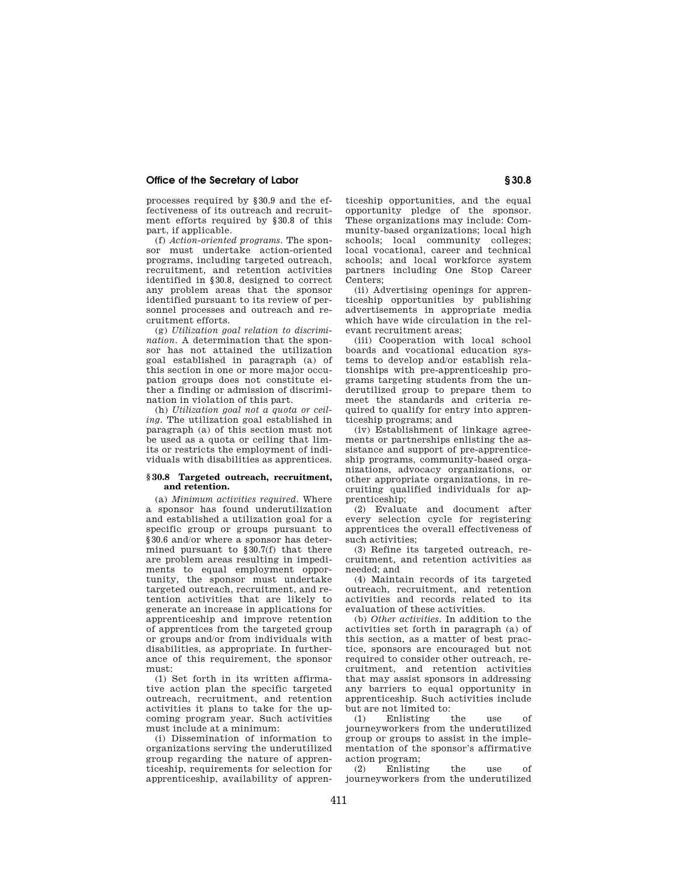processes required by §30.9 and the effectiveness of its outreach and recruitment efforts required by §30.8 of this part, if applicable.

(f) *Action-oriented programs.* The sponsor must undertake action-oriented programs, including targeted outreach, recruitment, and retention activities identified in §30.8, designed to correct any problem areas that the sponsor identified pursuant to its review of personnel processes and outreach and recruitment efforts.

(g) *Utilization goal relation to discrimination.* A determination that the sponsor has not attained the utilization goal established in paragraph (a) of this section in one or more major occupation groups does not constitute either a finding or admission of discrimination in violation of this part.

(h) *Utilization goal not a quota or ceiling.* The utilization goal established in paragraph (a) of this section must not be used as a quota or ceiling that limits or restricts the employment of individuals with disabilities as apprentices.

#### **§ 30.8 Targeted outreach, recruitment, and retention.**

(a) *Minimum activities required.* Where a sponsor has found underutilization and established a utilization goal for a specific group or groups pursuant to §30.6 and/or where a sponsor has determined pursuant to §30.7(f) that there are problem areas resulting in impediments to equal employment opportunity, the sponsor must undertake targeted outreach, recruitment, and retention activities that are likely to generate an increase in applications for apprenticeship and improve retention of apprentices from the targeted group or groups and/or from individuals with disabilities, as appropriate. In furtherance of this requirement, the sponsor must:

(1) Set forth in its written affirmative action plan the specific targeted outreach, recruitment, and retention activities it plans to take for the upcoming program year. Such activities must include at a minimum:

(i) Dissemination of information to organizations serving the underutilized group regarding the nature of apprenticeship, requirements for selection for apprenticeship, availability of apprenticeship opportunities, and the equal opportunity pledge of the sponsor. These organizations may include: Community-based organizations; local high schools; local community colleges; local vocational, career and technical schools; and local workforce system partners including One Stop Career Centers;

(ii) Advertising openings for apprenticeship opportunities by publishing advertisements in appropriate media which have wide circulation in the relevant recruitment areas;

(iii) Cooperation with local school boards and vocational education systems to develop and/or establish relationships with pre-apprenticeship programs targeting students from the underutilized group to prepare them to meet the standards and criteria required to qualify for entry into apprenticeship programs; and

(iv) Establishment of linkage agreements or partnerships enlisting the assistance and support of pre-apprenticeship programs, community-based organizations, advocacy organizations, or other appropriate organizations, in recruiting qualified individuals for apprenticeship;

(2) Evaluate and document after every selection cycle for registering apprentices the overall effectiveness of such activities;

(3) Refine its targeted outreach, recruitment, and retention activities as needed; and

(4) Maintain records of its targeted outreach, recruitment, and retention activities and records related to its evaluation of these activities.

(b) *Other activities.* In addition to the activities set forth in paragraph (a) of this section, as a matter of best practice, sponsors are encouraged but not required to consider other outreach, recruitment, and retention activities that may assist sponsors in addressing any barriers to equal opportunity in apprenticeship. Such activities include but are not limited to:

(1) Enlisting the use of journeyworkers from the underutilized group or groups to assist in the implementation of the sponsor's affirmative action program;

(2) Enlisting the use of journeyworkers from the underutilized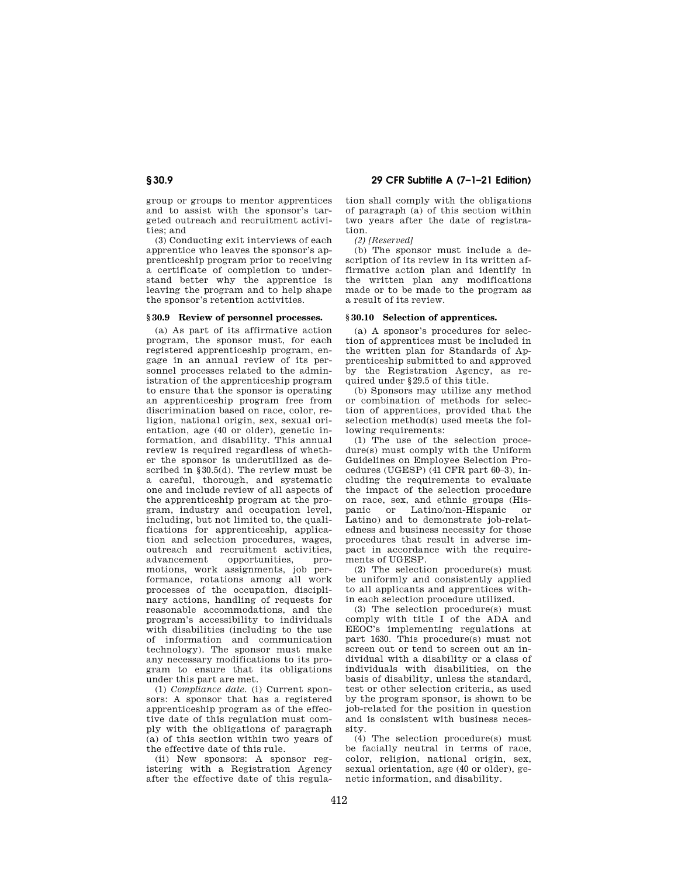group or groups to mentor apprentices and to assist with the sponsor's targeted outreach and recruitment activities; and

(3) Conducting exit interviews of each apprentice who leaves the sponsor's apprenticeship program prior to receiving a certificate of completion to understand better why the apprentice is leaving the program and to help shape the sponsor's retention activities.

### **§ 30.9 Review of personnel processes.**

(a) As part of its affirmative action program, the sponsor must, for each registered apprenticeship program, engage in an annual review of its personnel processes related to the administration of the apprenticeship program to ensure that the sponsor is operating an apprenticeship program free from discrimination based on race, color, religion, national origin, sex, sexual orientation, age (40 or older), genetic information, and disability. This annual review is required regardless of whether the sponsor is underutilized as described in §30.5(d). The review must be a careful, thorough, and systematic one and include review of all aspects of the apprenticeship program at the program, industry and occupation level, including, but not limited to, the qualifications for apprenticeship, application and selection procedures, wages, outreach and recruitment activities, advancement opportunities, promotions, work assignments, job performance, rotations among all work processes of the occupation, disciplinary actions, handling of requests for reasonable accommodations, and the program's accessibility to individuals with disabilities (including to the use of information and communication technology). The sponsor must make any necessary modifications to its program to ensure that its obligations under this part are met.

(1) *Compliance date.* (i) Current sponsors: A sponsor that has a registered apprenticeship program as of the effective date of this regulation must comply with the obligations of paragraph (a) of this section within two years of the effective date of this rule.

(ii) New sponsors: A sponsor registering with a Registration Agency after the effective date of this regula-

**§ 30.9 29 CFR Subtitle A (7–1–21 Edition)** 

tion shall comply with the obligations of paragraph (a) of this section within two years after the date of registration.

*(2) [Reserved]* 

(b) The sponsor must include a description of its review in its written affirmative action plan and identify in the written plan any modifications made or to be made to the program as a result of its review.

### **§ 30.10 Selection of apprentices.**

(a) A sponsor's procedures for selection of apprentices must be included in the written plan for Standards of Apprenticeship submitted to and approved by the Registration Agency, as required under §29.5 of this title.

(b) Sponsors may utilize any method or combination of methods for selection of apprentices, provided that the selection method(s) used meets the following requirements:

(1) The use of the selection procedure(s) must comply with the Uniform Guidelines on Employee Selection Procedures (UGESP) (41 CFR part 60–3), including the requirements to evaluate the impact of the selection procedure on race, sex, and ethnic groups (Hispanic or Latino/non-Hispanic or Latino) and to demonstrate job-relatedness and business necessity for those procedures that result in adverse impact in accordance with the requirements of UGESP.

(2) The selection procedure(s) must be uniformly and consistently applied to all applicants and apprentices within each selection procedure utilized.

(3) The selection procedure(s) must comply with title I of the ADA and EEOC's implementing regulations at part 1630. This procedure(s) must not screen out or tend to screen out an individual with a disability or a class of individuals with disabilities, on the basis of disability, unless the standard, test or other selection criteria, as used by the program sponsor, is shown to be job-related for the position in question and is consistent with business necessity.

(4) The selection procedure(s) must be facially neutral in terms of race, color, religion, national origin, sex, sexual orientation, age (40 or older), genetic information, and disability.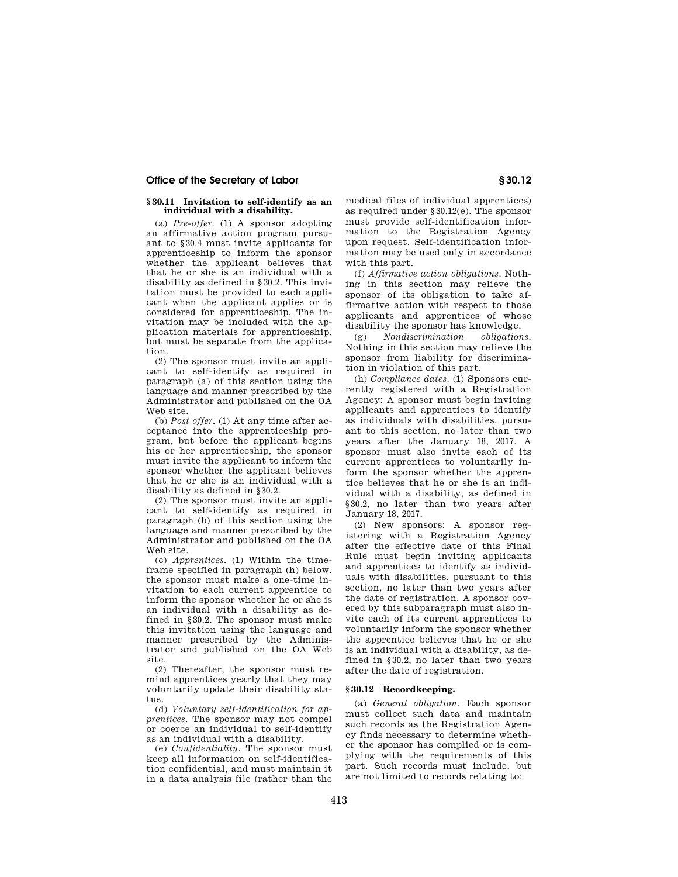## **§ 30.11 Invitation to self-identify as an individual with a disability.**

(a) *Pre-offer.* (1) A sponsor adopting an affirmative action program pursuant to §30.4 must invite applicants for apprenticeship to inform the sponsor whether the applicant believes that that he or she is an individual with a disability as defined in §30.2. This invitation must be provided to each applicant when the applicant applies or is considered for apprenticeship. The invitation may be included with the application materials for apprenticeship, but must be separate from the application.

(2) The sponsor must invite an applicant to self-identify as required in paragraph (a) of this section using the language and manner prescribed by the Administrator and published on the OA Web site.

(b) *Post offer.* (1) At any time after acceptance into the apprenticeship program, but before the applicant begins his or her apprenticeship, the sponsor must invite the applicant to inform the sponsor whether the applicant believes that he or she is an individual with a disability as defined in §30.2.

(2) The sponsor must invite an applicant to self-identify as required in paragraph (b) of this section using the language and manner prescribed by the Administrator and published on the OA Web site.

(c) *Apprentices.* (1) Within the timeframe specified in paragraph (h) below, the sponsor must make a one-time invitation to each current apprentice to inform the sponsor whether he or she is an individual with a disability as defined in §30.2. The sponsor must make this invitation using the language and manner prescribed by the Administrator and published on the OA Web site.

(2) Thereafter, the sponsor must remind apprentices yearly that they may voluntarily update their disability status.

(d) *Voluntary self-identification for apprentices.* The sponsor may not compel or coerce an individual to self-identify as an individual with a disability.

(e) *Confidentiality.* The sponsor must keep all information on self-identification confidential, and must maintain it in a data analysis file (rather than the

medical files of individual apprentices) as required under §30.12(e). The sponsor must provide self-identification information to the Registration Agency upon request. Self-identification information may be used only in accordance with this part.

(f) *Affirmative action obligations.* Nothing in this section may relieve the sponsor of its obligation to take affirmative action with respect to those applicants and apprentices of whose disability the sponsor has knowledge.

(g) *Nondiscrimination obligations.*  Nothing in this section may relieve the sponsor from liability for discrimination in violation of this part.

(h) *Compliance dates.* (1) Sponsors currently registered with a Registration Agency: A sponsor must begin inviting applicants and apprentices to identify as individuals with disabilities, pursuant to this section, no later than two years after the January 18, 2017. A sponsor must also invite each of its current apprentices to voluntarily inform the sponsor whether the apprentice believes that he or she is an individual with a disability, as defined in §30.2, no later than two years after January 18, 2017.

(2) New sponsors: A sponsor registering with a Registration Agency after the effective date of this Final Rule must begin inviting applicants and apprentices to identify as individuals with disabilities, pursuant to this section, no later than two years after the date of registration. A sponsor covered by this subparagraph must also invite each of its current apprentices to voluntarily inform the sponsor whether the apprentice believes that he or she is an individual with a disability, as defined in §30.2, no later than two years after the date of registration.

## **§ 30.12 Recordkeeping.**

(a) *General obligation.* Each sponsor must collect such data and maintain such records as the Registration Agency finds necessary to determine whether the sponsor has complied or is complying with the requirements of this part. Such records must include, but are not limited to records relating to: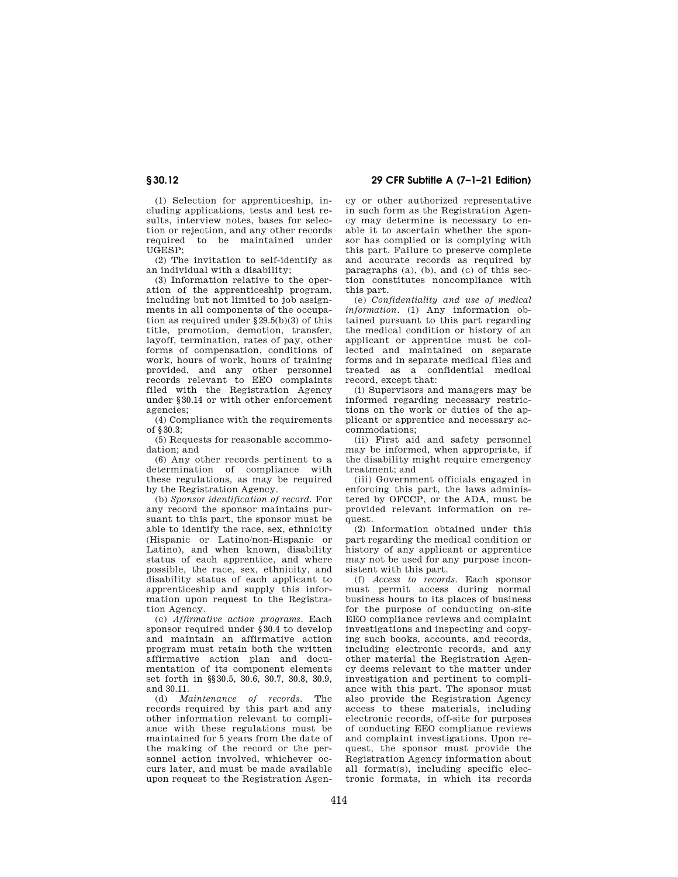**§ 30.12 29 CFR Subtitle A (7–1–21 Edition)** 

(1) Selection for apprenticeship, including applications, tests and test results, interview notes, bases for selection or rejection, and any other records required to be maintained under UGESP;

(2) The invitation to self-identify as an individual with a disability;

(3) Information relative to the operation of the apprenticeship program, including but not limited to job assignments in all components of the occupation as required under §29.5(b)(3) of this title, promotion, demotion, transfer, layoff, termination, rates of pay, other forms of compensation, conditions of work, hours of work, hours of training provided, and any other personnel records relevant to EEO complaints filed with the Registration Agency under §30.14 or with other enforcement agencies;

(4) Compliance with the requirements of  $$30.3$ 

(5) Requests for reasonable accommodation; and

(6) Any other records pertinent to a determination of compliance with these regulations, as may be required by the Registration Agency.

(b) *Sponsor identification of record.* For any record the sponsor maintains pursuant to this part, the sponsor must be able to identify the race, sex, ethnicity (Hispanic or Latino/non-Hispanic or Latino), and when known, disability status of each apprentice, and where possible, the race, sex, ethnicity, and disability status of each applicant to apprenticeship and supply this information upon request to the Registration Agency.

(c) *Affirmative action programs.* Each sponsor required under §30.4 to develop and maintain an affirmative action program must retain both the written affirmative action plan and documentation of its component elements set forth in §§30.5, 30.6, 30.7, 30.8, 30.9, and 30.11.

(d) *Maintenance of records.* The records required by this part and any other information relevant to compliance with these regulations must be maintained for 5 years from the date of the making of the record or the personnel action involved, whichever occurs later, and must be made available upon request to the Registration Agency or other authorized representative in such form as the Registration Agency may determine is necessary to enable it to ascertain whether the sponsor has complied or is complying with this part. Failure to preserve complete and accurate records as required by paragraphs (a), (b), and (c) of this section constitutes noncompliance with this part.

(e) *Confidentiality and use of medical information.* (1) Any information obtained pursuant to this part regarding the medical condition or history of an applicant or apprentice must be collected and maintained on separate forms and in separate medical files and treated as a confidential medical record, except that:

(i) Supervisors and managers may be informed regarding necessary restrictions on the work or duties of the applicant or apprentice and necessary accommodations;

(ii) First aid and safety personnel may be informed, when appropriate, if the disability might require emergency treatment; and

(iii) Government officials engaged in enforcing this part, the laws administered by OFCCP, or the ADA, must be provided relevant information on request.

(2) Information obtained under this part regarding the medical condition or history of any applicant or apprentice may not be used for any purpose inconsistent with this part.

(f) *Access to records.* Each sponsor must permit access during normal business hours to its places of business for the purpose of conducting on-site EEO compliance reviews and complaint investigations and inspecting and copying such books, accounts, and records, including electronic records, and any other material the Registration Agency deems relevant to the matter under investigation and pertinent to compliance with this part. The sponsor must also provide the Registration Agency access to these materials, including electronic records, off-site for purposes of conducting EEO compliance reviews and complaint investigations. Upon request, the sponsor must provide the Registration Agency information about all format(s), including specific electronic formats, in which its records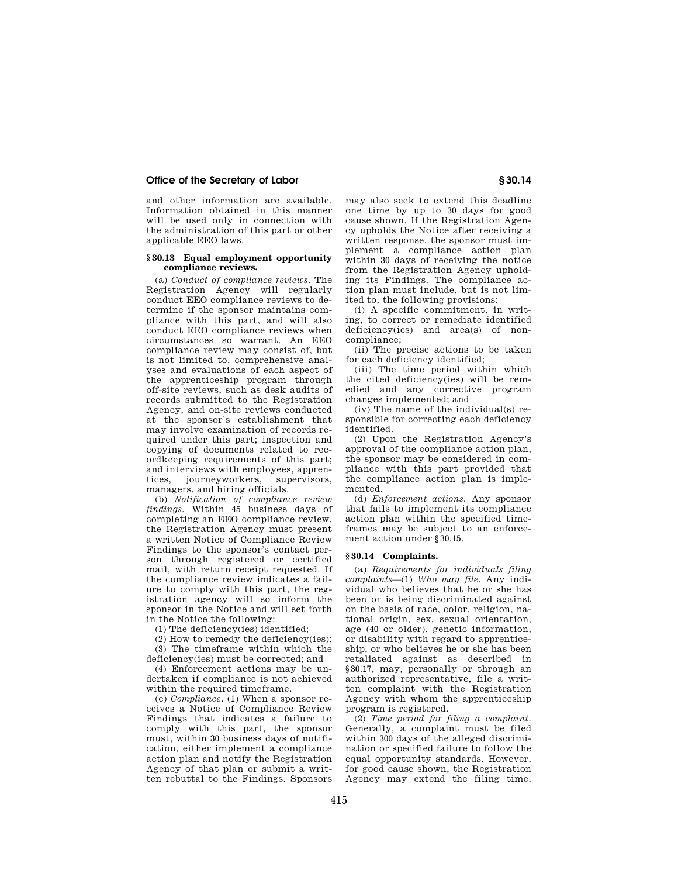and other information are available. Information obtained in this manner will be used only in connection with the administration of this part or other applicable EEO laws.

#### **§ 30.13 Equal employment opportunity compliance reviews.**

(a) *Conduct of compliance reviews.* The Registration Agency will regularly conduct EEO compliance reviews to determine if the sponsor maintains compliance with this part, and will also conduct EEO compliance reviews when circumstances so warrant. An EEO compliance review may consist of, but is not limited to, comprehensive analyses and evaluations of each aspect of the apprenticeship program through off-site reviews, such as desk audits of records submitted to the Registration Agency, and on-site reviews conducted at the sponsor's establishment that may involve examination of records required under this part; inspection and copying of documents related to recordkeeping requirements of this part; and interviews with employees, appren-<br>tices, journeyworkers, supervisors, tices, journeyworkers, managers, and hiring officials.

(b) *Notification of compliance review findings.* Within 45 business days of completing an EEO compliance review, the Registration Agency must present a written Notice of Compliance Review Findings to the sponsor's contact person through registered or certified mail, with return receipt requested. If the compliance review indicates a failure to comply with this part, the registration agency will so inform the sponsor in the Notice and will set forth in the Notice the following:

(1) The deficiency(ies) identified;

(2) How to remedy the deficiency(ies); (3) The timeframe within which the

deficiency(ies) must be corrected; and (4) Enforcement actions may be un-

dertaken if compliance is not achieved within the required timeframe.

(c) *Compliance.* (1) When a sponsor receives a Notice of Compliance Review Findings that indicates a failure to comply with this part, the sponsor must, within 30 business days of notification, either implement a compliance action plan and notify the Registration Agency of that plan or submit a written rebuttal to the Findings. Sponsors

may also seek to extend this deadline one time by up to 30 days for good cause shown. If the Registration Agency upholds the Notice after receiving a written response, the sponsor must implement a compliance action plan within 30 days of receiving the notice from the Registration Agency upholding its Findings. The compliance action plan must include, but is not limited to, the following provisions:

(i) A specific commitment, in writing, to correct or remediate identified deficiency(ies) and area(s) of noncompliance;

(ii) The precise actions to be taken for each deficiency identified;

(iii) The time period within which the cited deficiency(ies) will be remedied and any corrective program changes implemented; and

(iv) The name of the individual(s) responsible for correcting each deficiency identified.

(2) Upon the Registration Agency's approval of the compliance action plan, the sponsor may be considered in compliance with this part provided that the compliance action plan is implemented.

(d) *Enforcement actions.* Any sponsor that fails to implement its compliance action plan within the specified timeframes may be subject to an enforcement action under §30.15.

#### **§ 30.14 Complaints.**

(a) *Requirements for individuals filing complaints*—(1) *Who may file.* Any individual who believes that he or she has been or is being discriminated against on the basis of race, color, religion, national origin, sex, sexual orientation, age (40 or older), genetic information, or disability with regard to apprenticeship, or who believes he or she has been retaliated against as described in §30.17, may, personally or through an authorized representative, file a written complaint with the Registration Agency with whom the apprenticeship program is registered.

(2) *Time period for filing a complaint.*  Generally, a complaint must be filed within 300 days of the alleged discrimination or specified failure to follow the equal opportunity standards. However, for good cause shown, the Registration Agency may extend the filing time.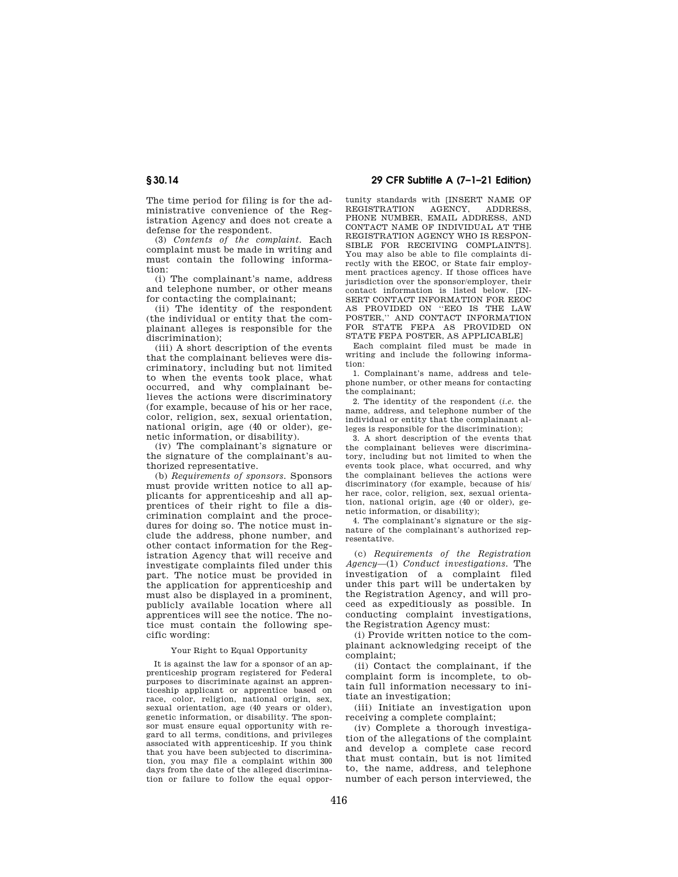The time period for filing is for the administrative convenience of the Registration Agency and does not create a defense for the respondent.

(3) *Contents of the complaint.* Each complaint must be made in writing and must contain the following information:

(i) The complainant's name, address and telephone number, or other means for contacting the complainant;

(ii) The identity of the respondent (the individual or entity that the complainant alleges is responsible for the discrimination);

(iii) A short description of the events that the complainant believes were discriminatory, including but not limited to when the events took place, what occurred, and why complainant believes the actions were discriminatory (for example, because of his or her race, color, religion, sex, sexual orientation, national origin, age (40 or older), genetic information, or disability).

(iv) The complainant's signature or the signature of the complainant's authorized representative.

(b) *Requirements of sponsors.* Sponsors must provide written notice to all applicants for apprenticeship and all apprentices of their right to file a discrimination complaint and the procedures for doing so. The notice must include the address, phone number, and other contact information for the Registration Agency that will receive and investigate complaints filed under this part. The notice must be provided in the application for apprenticeship and must also be displayed in a prominent, publicly available location where all apprentices will see the notice. The notice must contain the following specific wording:

### Your Right to Equal Opportunity

It is against the law for a sponsor of an apprenticeship program registered for Federal purposes to discriminate against an apprenticeship applicant or apprentice based on race, color, religion, national origin, sex, sexual orientation, age (40 years or older), genetic information, or disability. The sponsor must ensure equal opportunity with regard to all terms, conditions, and privileges associated with apprenticeship. If you think that you have been subjected to discrimination, you may file a complaint within 300 days from the date of the alleged discrimination or failure to follow the equal oppor-

**§ 30.14 29 CFR Subtitle A (7–1–21 Edition)** 

tunity standards with [INSERT NAME OF REGISTRATION AGENCY, ADDRESS. REGISTRATION AGENCY, ADDRESS, PHONE NUMBER, EMAIL ADDRESS, AND CONTACT NAME OF INDIVIDUAL AT THE REGISTRATION AGENCY WHO IS RESPON-SIBLE FOR RECEIVING COMPLAINTS]. You may also be able to file complaints directly with the EEOC, or State fair employment practices agency. If those offices have jurisdiction over the sponsor/employer, their contact information is listed below  $IN-$ SERT CONTACT INFORMATION FOR EEOC AS PROVIDED ON ''EEO IS THE LAW POSTER," AND CONTACT INFORMATION FOR STATE FEPA AS PROVIDED ON STATE FEPA POSTER, AS APPLICABLE]

Each complaint filed must be made in writing and include the following information:

1. Complainant's name, address and telephone number, or other means for contacting the complainant;

2. The identity of the respondent (*i.e.* the name, address, and telephone number of the individual or entity that the complainant alleges is responsible for the discrimination);

3. A short description of the events that the complainant believes were discriminatory, including but not limited to when the events took place, what occurred, and why the complainant believes the actions were discriminatory (for example, because of his/ her race, color, religion, sex, sexual orientation, national origin, age (40 or older), genetic information, or disability);

4. The complainant's signature or the signature of the complainant's authorized representative.

(c) *Requirements of the Registration Agency*—(1) *Conduct investigations.* The investigation of a complaint filed under this part will be undertaken by the Registration Agency, and will proceed as expeditiously as possible. In conducting complaint investigations, the Registration Agency must:

(i) Provide written notice to the complainant acknowledging receipt of the complaint;

(ii) Contact the complainant, if the complaint form is incomplete, to obtain full information necessary to initiate an investigation;

(iii) Initiate an investigation upon receiving a complete complaint;

(iv) Complete a thorough investigation of the allegations of the complaint and develop a complete case record that must contain, but is not limited to, the name, address, and telephone number of each person interviewed, the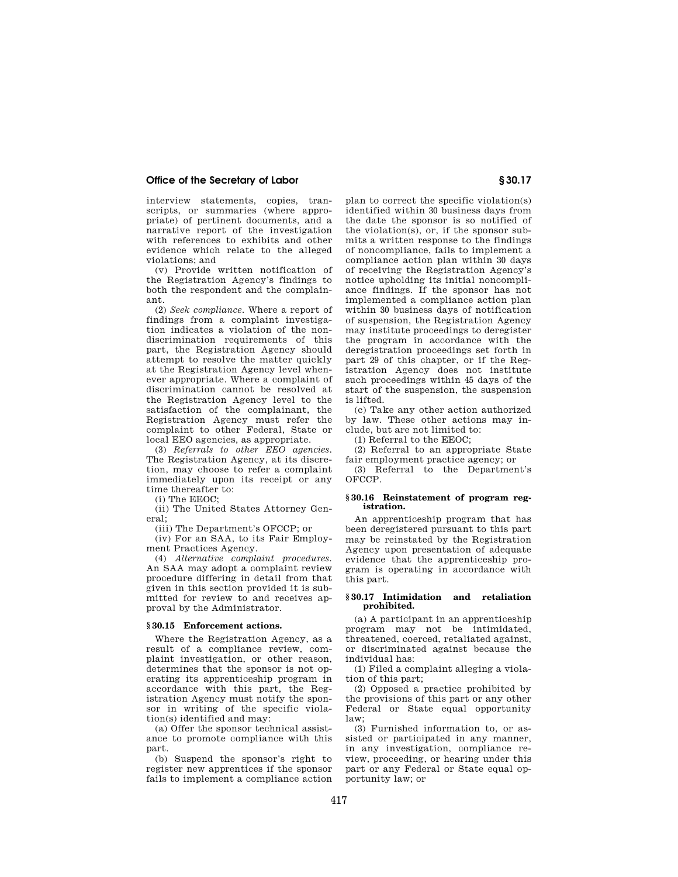interview statements, copies, transcripts, or summaries (where appropriate) of pertinent documents, and a narrative report of the investigation with references to exhibits and other evidence which relate to the alleged violations; and

(v) Provide written notification of the Registration Agency's findings to both the respondent and the complainant.

(2) *Seek compliance.* Where a report of findings from a complaint investigation indicates a violation of the nondiscrimination requirements of this part, the Registration Agency should attempt to resolve the matter quickly at the Registration Agency level whenever appropriate. Where a complaint of discrimination cannot be resolved at the Registration Agency level to the satisfaction of the complainant, the Registration Agency must refer the complaint to other Federal, State or local EEO agencies, as appropriate.

(3) *Referrals to other EEO agencies.*  The Registration Agency, at its discretion, may choose to refer a complaint immediately upon its receipt or any time thereafter to:

(i) The EEOC;

(ii) The United States Attorney General;

(iii) The Department's OFCCP; or

(iv) For an SAA, to its Fair Employment Practices Agency.

(4) *Alternative complaint procedures.*  An SAA may adopt a complaint review procedure differing in detail from that given in this section provided it is submitted for review to and receives approval by the Administrator.

## **§ 30.15 Enforcement actions.**

Where the Registration Agency, as a result of a compliance review, complaint investigation, or other reason, determines that the sponsor is not operating its apprenticeship program in accordance with this part, the Registration Agency must notify the sponsor in writing of the specific violation(s) identified and may:

(a) Offer the sponsor technical assistance to promote compliance with this part.

(b) Suspend the sponsor's right to register new apprentices if the sponsor fails to implement a compliance action

plan to correct the specific violation(s) identified within 30 business days from the date the sponsor is so notified of the violation(s), or, if the sponsor submits a written response to the findings of noncompliance, fails to implement a compliance action plan within 30 days of receiving the Registration Agency's notice upholding its initial noncompliance findings. If the sponsor has not implemented a compliance action plan within 30 business days of notification of suspension, the Registration Agency may institute proceedings to deregister the program in accordance with the deregistration proceedings set forth in part 29 of this chapter, or if the Registration Agency does not institute such proceedings within 45 days of the start of the suspension, the suspension is lifted.

(c) Take any other action authorized by law. These other actions may include, but are not limited to:

(1) Referral to the EEOC;

(2) Referral to an appropriate State fair employment practice agency; or

(3) Referral to the Department's OFCCP.

## **§ 30.16 Reinstatement of program registration.**

An apprenticeship program that has been deregistered pursuant to this part may be reinstated by the Registration Agency upon presentation of adequate evidence that the apprenticeship program is operating in accordance with this part.

## **§ 30.17 Intimidation and retaliation prohibited.**

(a) A participant in an apprenticeship program may not be intimidated, threatened, coerced, retaliated against, or discriminated against because the individual has:

(1) Filed a complaint alleging a violation of this part;

(2) Opposed a practice prohibited by the provisions of this part or any other Federal or State equal opportunity law;

(3) Furnished information to, or assisted or participated in any manner, in any investigation, compliance review, proceeding, or hearing under this part or any Federal or State equal opportunity law; or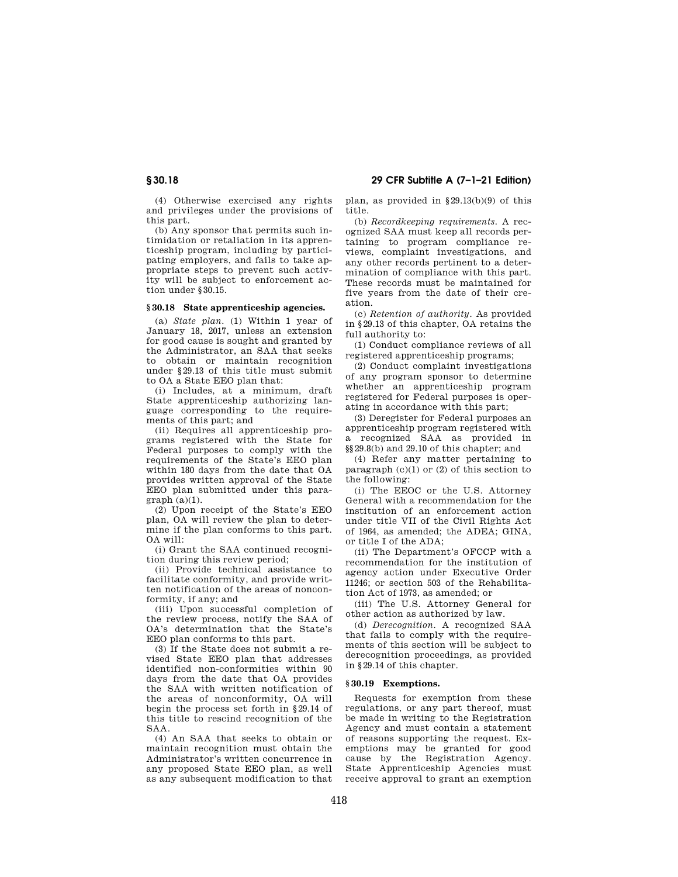**§ 30.18 29 CFR Subtitle A (7–1–21 Edition)** 

(4) Otherwise exercised any rights and privileges under the provisions of this part.

(b) Any sponsor that permits such intimidation or retaliation in its apprenticeship program, including by participating employers, and fails to take appropriate steps to prevent such activity will be subject to enforcement action under §30.15.

## **§ 30.18 State apprenticeship agencies.**

(a) *State plan.* (1) Within 1 year of January 18, 2017, unless an extension for good cause is sought and granted by the Administrator, an SAA that seeks to obtain or maintain recognition under §29.13 of this title must submit to OA a State EEO plan that:

(i) Includes, at a minimum, draft State apprenticeship authorizing language corresponding to the requirements of this part; and

(ii) Requires all apprenticeship programs registered with the State for Federal purposes to comply with the requirements of the State's EEO plan within 180 days from the date that OA provides written approval of the State EEO plan submitted under this para $graph (a)(1)$ .

(2) Upon receipt of the State's EEO plan, OA will review the plan to determine if the plan conforms to this part. OA will:

(i) Grant the SAA continued recognition during this review period;

(ii) Provide technical assistance to facilitate conformity, and provide written notification of the areas of nonconformity, if any; and

(iii) Upon successful completion of the review process, notify the SAA of OA's determination that the State's EEO plan conforms to this part.

(3) If the State does not submit a revised State EEO plan that addresses identified non-conformities within 90 days from the date that OA provides the SAA with written notification of the areas of nonconformity, OA will begin the process set forth in §29.14 of this title to rescind recognition of the SAA.

(4) An SAA that seeks to obtain or maintain recognition must obtain the Administrator's written concurrence in any proposed State EEO plan, as well as any subsequent modification to that plan, as provided in §29.13(b)(9) of this title.

(b) *Recordkeeping requirements.* A recognized SAA must keep all records pertaining to program compliance reviews, complaint investigations, and any other records pertinent to a determination of compliance with this part. These records must be maintained for five years from the date of their creation.

(c) *Retention of authority.* As provided in §29.13 of this chapter, OA retains the full authority to:

(1) Conduct compliance reviews of all registered apprenticeship programs;

(2) Conduct complaint investigations of any program sponsor to determine whether an apprenticeship program registered for Federal purposes is operating in accordance with this part;

(3) Deregister for Federal purposes an apprenticeship program registered with a recognized SAA as provided in §§29.8(b) and 29.10 of this chapter; and

(4) Refer any matter pertaining to paragraph  $(c)(1)$  or  $(2)$  of this section to the following:

(i) The EEOC or the U.S. Attorney General with a recommendation for the institution of an enforcement action under title VII of the Civil Rights Act of 1964, as amended; the ADEA; GINA, or title I of the ADA;

(ii) The Department's OFCCP with a recommendation for the institution of agency action under Executive Order 11246; or section 503 of the Rehabilitation Act of 1973, as amended; or

(iii) The U.S. Attorney General for other action as authorized by law.

(d) *Derecognition.* A recognized SAA that fails to comply with the requirements of this section will be subject to derecognition proceedings, as provided in §29.14 of this chapter.

## **§ 30.19 Exemptions.**

Requests for exemption from these regulations, or any part thereof, must be made in writing to the Registration Agency and must contain a statement of reasons supporting the request. Exemptions may be granted for good cause by the Registration Agency. State Apprenticeship Agencies must receive approval to grant an exemption